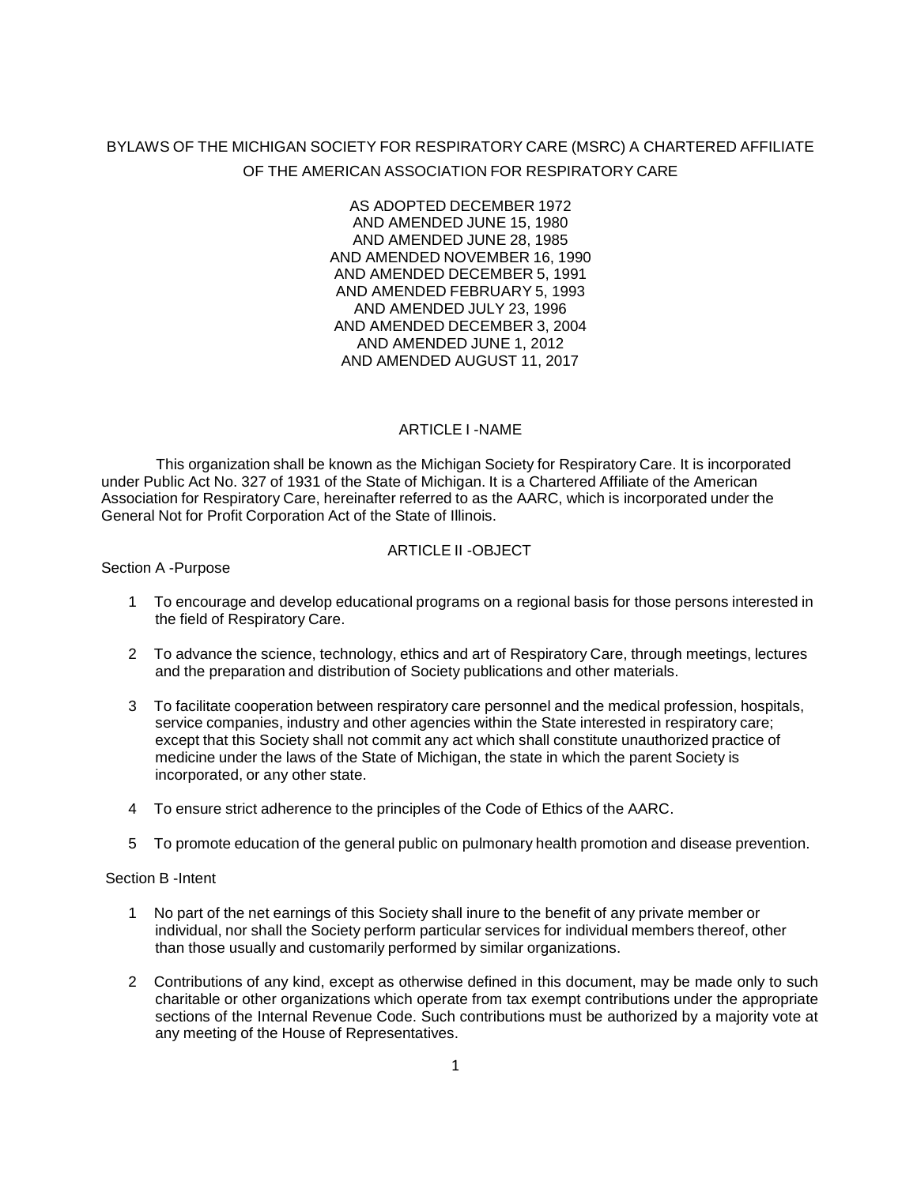# BYLAWS OF THE MICHIGAN SOCIETY FOR RESPIRATORY CARE (MSRC) A CHARTERED AFFILIATE OF THE AMERICAN ASSOCIATION FOR RESPIRATORY CARE

AS ADOPTED DECEMBER 1972 AND AMENDED JUNE 15, 1980 AND AMENDED JUNE 28, 1985 AND AMENDED NOVEMBER 16, 1990 AND AMENDED DECEMBER 5, 1991 AND AMENDED FEBRUARY 5, 1993 AND AMENDED JULY 23, 1996 AND AMENDED DECEMBER 3, 2004 AND AMENDED JUNE 1, 2012 AND AMENDED AUGUST 11, 2017

# ARTICLE I -NAME

This organization shall be known as the Michigan Society for Respiratory Care. It is incorporated under Public Act No. 327 of 1931 of the State of Michigan. It is a Chartered Affiliate of the American Association for Respiratory Care, hereinafter referred to as the AARC, which is incorporated under the General Not for Profit Corporation Act of the State of Illinois.

# ARTICLE II - OBJECT

Section A -Purpose

- 1 To encourage and develop educational programs on a regional basis for those persons interested in the field of Respiratory Care.
- 2 To advance the science, technology, ethics and art of Respiratory Care, through meetings, lectures and the preparation and distribution of Society publications and other materials.
- 3 To facilitate cooperation between respiratory care personnel and the medical profession, hospitals, service companies, industry and other agencies within the State interested in respiratory care; except that this Society shall not commit any act which shall constitute unauthorized practice of medicine under the laws of the State of Michigan, the state in which the parent Society is incorporated, or any other state.
- 4 To ensure strict adherence to the principles of the Code of Ethics of the AARC.
- 5 To promote education of the general public on pulmonary health promotion and disease prevention.

#### Section B -Intent

- 1 No part of the net earnings of this Society shall inure to the benefit of any private member or individual, nor shall the Society perform particular services for individual members thereof, other than those usually and customarily performed by similar organizations.
- 2 Contributions of any kind, except as otherwise defined in this document, may be made only to such charitable or other organizations which operate from tax exempt contributions under the appropriate sections of the Internal Revenue Code. Such contributions must be authorized by a majority vote at any meeting of the House of Representatives.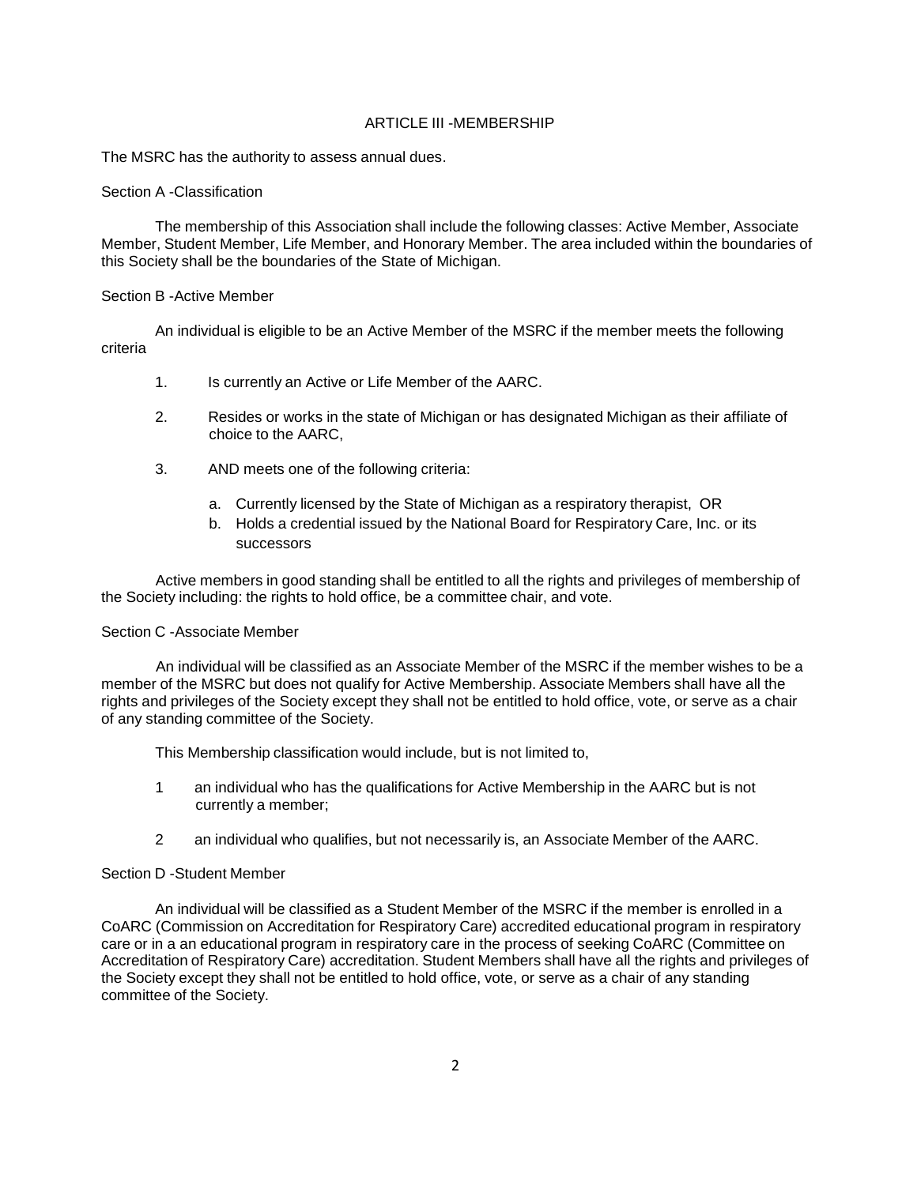# ARTICLE III -MEMBERSHIP

The MSRC has the authority to assess annual dues.

#### Section A -Classification

The membership of this Association shall include the following classes: Active Member, Associate Member, Student Member, Life Member, and Honorary Member. The area included within the boundaries of this Society shall be the boundaries of the State of Michigan.

#### Section B -Active Member

criteria An individual is eligible to be an Active Member of the MSRC if the member meets the following

- 1. Is currently an Active or Life Member of the AARC.
- 2. Resides or works in the state of Michigan or has designated Michigan as their affiliate of choice to the AARC,
- 3. AND meets one of the following criteria:
	- a. Currently licensed by the State of Michigan as a respiratory therapist, OR
	- b. Holds a credential issued by the National Board for Respiratory Care, Inc. or its successors

Active members in good standing shall be entitled to all the rights and privileges of membership of the Society including: the rights to hold office, be a committee chair, and vote.

#### Section C -Associate Member

An individual will be classified as an Associate Member of the MSRC if the member wishes to be a member of the MSRC but does not qualify for Active Membership. Associate Members shall have all the rights and privileges of the Society except they shall not be entitled to hold office, vote, or serve as a chair of any standing committee of the Society.

This Membership classification would include, but is not limited to,

- 1 an individual who has the qualifications for Active Membership in the AARC but is not currently a member;
- 2 an individual who qualifies, but not necessarily is, an Associate Member of the AARC.

#### Section D -Student Member

An individual will be classified as a Student Member of the MSRC if the member is enrolled in a CoARC (Commission on Accreditation for Respiratory Care) accredited educational program in respiratory care or in a an educational program in respiratory care in the process of seeking CoARC (Committee on Accreditation of Respiratory Care) accreditation. Student Members shall have all the rights and privileges of the Society except they shall not be entitled to hold office, vote, or serve as a chair of any standing committee of the Society.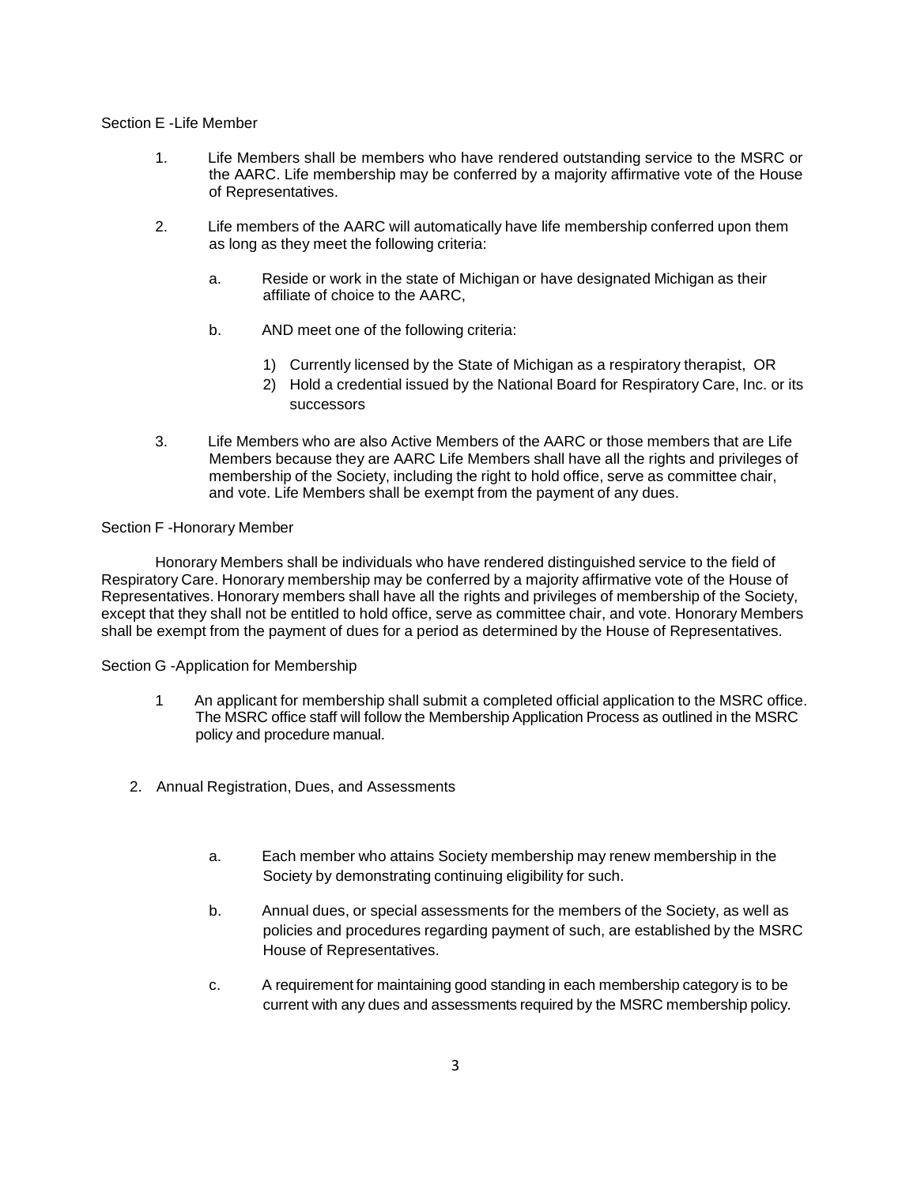# Section E -Life Member

- 1. Life Members shall be members who have rendered outstanding service to the MSRC or the AARC. Life membership may be conferred by a majority affirmative vote of the House of Representatives.
- 2. Life members of the AARC will automatically have life membership conferred upon them as long as they meet the following criteria:
	- a. Reside or work in the state of Michigan or have designated Michigan as their affiliate of choice to the AARC,
	- b. AND meet one of the following criteria:
		- 1) Currently licensed by the State of Michigan as a respiratory therapist, OR
		- 2) Hold a credential issued by the National Board for Respiratory Care, Inc. or its successors
- 3. Life Members who are also Active Members of the AARC or those members that are Life Members because they are AARC Life Members shall have all the rights and privileges of membership of the Society, including the right to hold office, serve as committee chair, and vote. Life Members shall be exempt from the payment of any dues.

### Section F -Honorary Member

Honorary Members shall be individuals who have rendered distinguished service to the field of Respiratory Care. Honorary membership may be conferred by a majority affirmative vote of the House of Representatives. Honorary members shall have all the rights and privileges of membership of the Society, except that they shall not be entitled to hold office, serve as committee chair, and vote. Honorary Members shall be exempt from the payment of dues for a period as determined by the House of Representatives.

### Section G -Application for Membership

- 1 An applicant for membership shall submit a completed official application to the MSRC office. The MSRC office staff will follow the Membership Application Process as outlined in the MSRC policy and procedure manual.
- 2. Annual Registration, Dues, and Assessments
	- a. Each member who attains Society membership may renew membership in the Society by demonstrating continuing eligibility for such.
	- b. Annual dues, or special assessments for the members of the Society, as well as policies and procedures regarding payment of such, are established by the MSRC House of Representatives.
	- c. A requirement for maintaining good standing in each membership category is to be current with any dues and assessments required by the MSRC membership policy.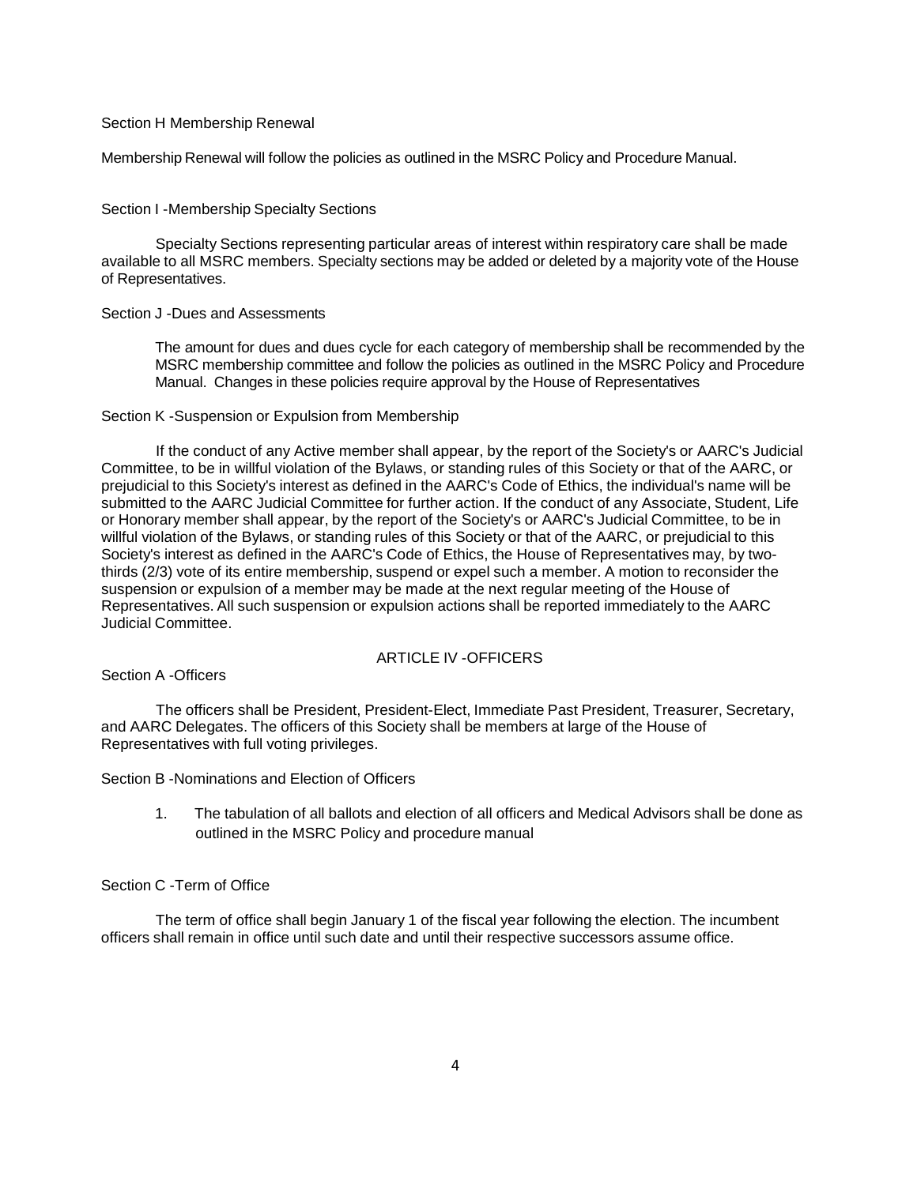#### Section H Membership Renewal

Membership Renewal will follow the policies as outlined in the MSRC Policy and Procedure Manual.

#### Section I -Membership Specialty Sections

Specialty Sections representing particular areas of interest within respiratory care shall be made available to all MSRC members. Specialty sections may be added or deleted by a majority vote of the House of Representatives.

#### Section J -Dues and Assessments

The amount for dues and dues cycle for each category of membership shall be recommended by the MSRC membership committee and follow the policies as outlined in the MSRC Policy and Procedure Manual. Changes in these policies require approval by the House of Representatives

### Section K -Suspension or Expulsion from Membership

If the conduct of any Active member shall appear, by the report of the Society's or AARC's Judicial Committee, to be in willful violation of the Bylaws, or standing rules of this Society or that of the AARC, or prejudicial to this Society's interest as defined in the AARC's Code of Ethics, the individual's name will be submitted to the AARC Judicial Committee for further action. If the conduct of any Associate, Student, Life or Honorary member shall appear, by the report of the Society's or AARC's Judicial Committee, to be in willful violation of the Bylaws, or standing rules of this Society or that of the AARC, or prejudicial to this Society's interest as defined in the AARC's Code of Ethics, the House of Representatives may, by twothirds (2/3) vote of its entire membership, suspend or expel such a member. A motion to reconsider the suspension or expulsion of a member may be made at the next regular meeting of the House of Representatives. All such suspension or expulsion actions shall be reported immediately to the AARC Judicial Committee.

# ARTICLE IV -OFFICERS

Section A -Officers

The officers shall be President, President-Elect, Immediate Past President, Treasurer, Secretary, and AARC Delegates. The officers of this Society shall be members at large of the House of Representatives with full voting privileges.

#### Section B -Nominations and Election of Officers

1. The tabulation of all ballots and election of all officers and Medical Advisors shall be done as outlined in the MSRC Policy and procedure manual

#### Section C -Term of Office

The term of office shall begin January 1 of the fiscal year following the election. The incumbent officers shall remain in office until such date and until their respective successors assume office.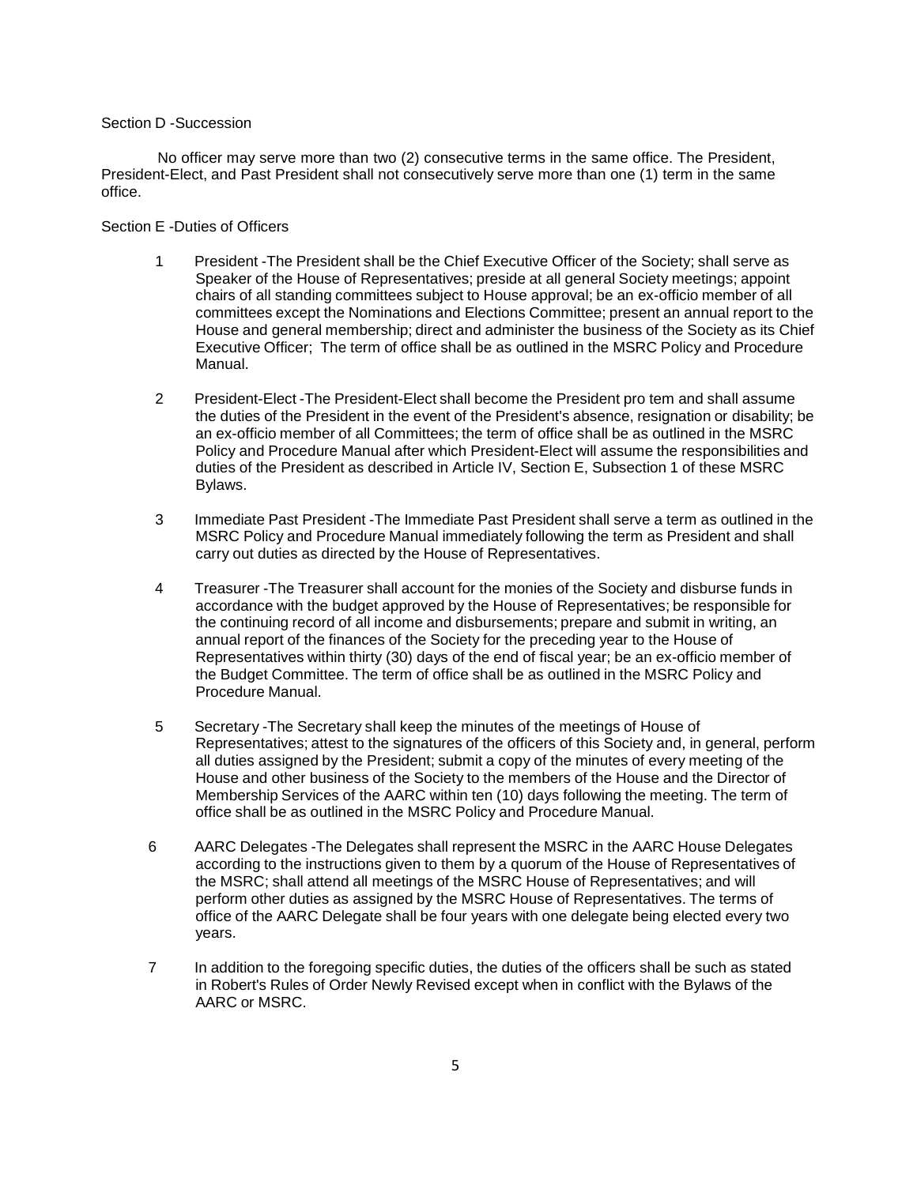### Section D -Succession

No officer may serve more than two (2) consecutive terms in the same office. The President, President-Elect, and Past President shall not consecutively serve more than one (1) term in the same office.

#### Section E -Duties of Officers

- 1 President -The President shall be the Chief Executive Officer of the Society; shall serve as Speaker of the House of Representatives; preside at all general Society meetings; appoint chairs of all standing committees subject to House approval; be an ex-officio member of all committees except the Nominations and Elections Committee; present an annual report to the House and general membership; direct and administer the business of the Society as its Chief Executive Officer; The term of office shall be as outlined in the MSRC Policy and Procedure Manual.
- 2 President-Elect -The President-Elect shall become the President pro tem and shall assume the duties of the President in the event of the President's absence, resignation or disability; be an ex-officio member of all Committees; the term of office shall be as outlined in the MSRC Policy and Procedure Manual after which President-Elect will assume the responsibilities and duties of the President as described in Article IV, Section E, Subsection 1 of these MSRC Bylaws.
- 3 Immediate Past President -The Immediate Past President shall serve a term as outlined in the MSRC Policy and Procedure Manual immediately following the term as President and shall carry out duties as directed by the House of Representatives.
- 4 Treasurer -The Treasurer shall account for the monies of the Society and disburse funds in accordance with the budget approved by the House of Representatives; be responsible for the continuing record of all income and disbursements; prepare and submit in writing, an annual report of the finances of the Society for the preceding year to the House of Representatives within thirty (30) days of the end of fiscal year; be an ex-officio member of the Budget Committee. The term of office shall be as outlined in the MSRC Policy and Procedure Manual.
- 5 Secretary -The Secretary shall keep the minutes of the meetings of House of Representatives; attest to the signatures of the officers of this Society and, in general, perform all duties assigned by the President; submit a copy of the minutes of every meeting of the House and other business of the Society to the members of the House and the Director of Membership Services of the AARC within ten (10) days following the meeting. The term of office shall be as outlined in the MSRC Policy and Procedure Manual.
- 6 AARC Delegates -The Delegates shall represent the MSRC in the AARC House Delegates according to the instructions given to them by a quorum of the House of Representatives of the MSRC; shall attend all meetings of the MSRC House of Representatives; and will perform other duties as assigned by the MSRC House of Representatives. The terms of office of the AARC Delegate shall be four years with one delegate being elected every two years.
- 7 In addition to the foregoing specific duties, the duties of the officers shall be such as stated in Robert's Rules of Order Newly Revised except when in conflict with the Bylaws of the AARC or MSRC.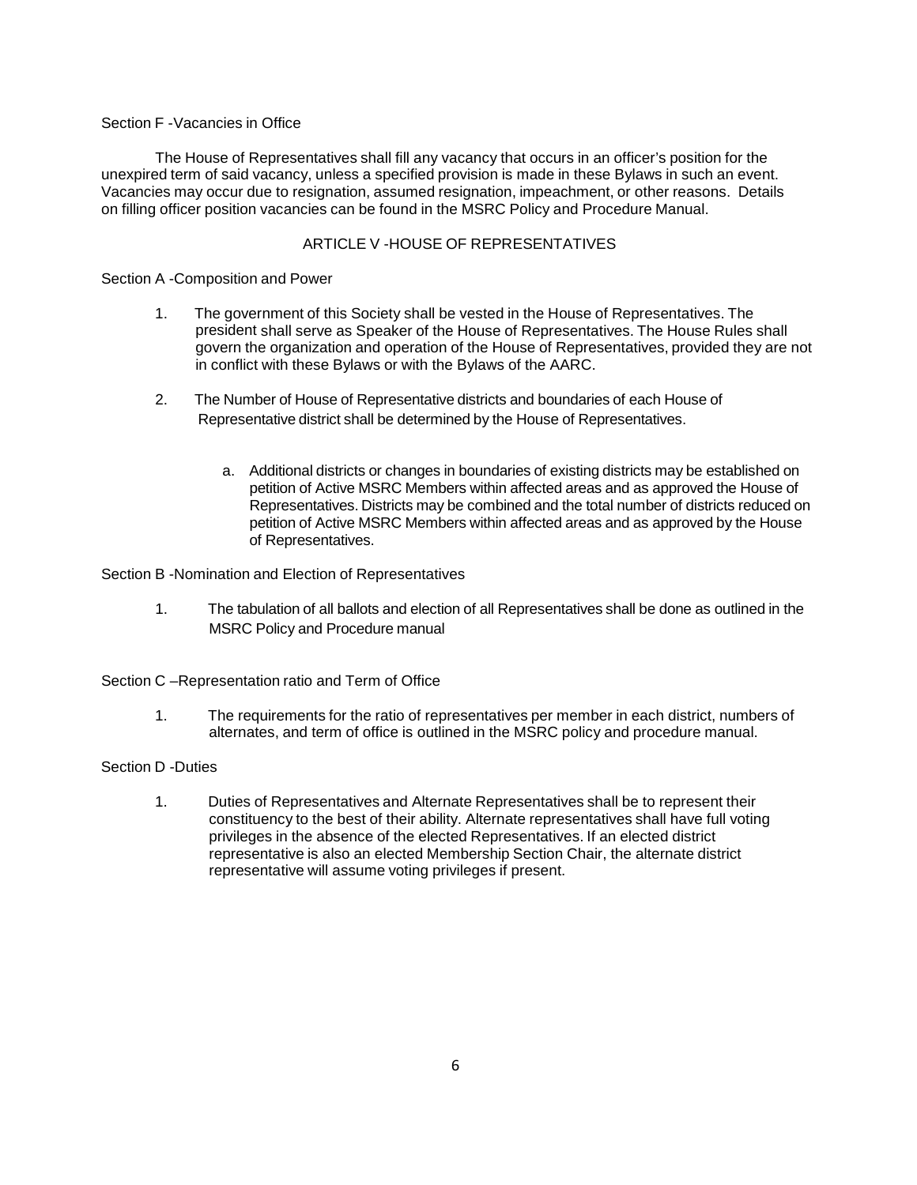# Section F -Vacancies in Office

The House of Representatives shall fill any vacancy that occurs in an officer's position for the unexpired term of said vacancy, unless a specified provision is made in these Bylaws in such an event. Vacancies may occur due to resignation, assumed resignation, impeachment, or other reasons. Details on filling officer position vacancies can be found in the MSRC Policy and Procedure Manual.

# ARTICLE V -HOUSE OF REPRESENTATIVES

### Section A -Composition and Power

- 1. The government of this Society shall be vested in the House of Representatives. The president shall serve as Speaker of the House of Representatives. The House Rules shall govern the organization and operation of the House of Representatives, provided they are not in conflict with these Bylaws or with the Bylaws of the AARC.
- 2. The Number of House of Representative districts and boundaries of each House of Representative district shall be determined by the House of Representatives.
	- a. Additional districts or changes in boundaries of existing districts may be established on petition of Active MSRC Members within affected areas and as approved the House of Representatives. Districts may be combined and the total number of districts reduced on petition of Active MSRC Members within affected areas and as approved by the House of Representatives.

Section B -Nomination and Election of Representatives

- 1. The tabulation of all ballots and election of all Representatives shall be done as outlined in the MSRC Policy and Procedure manual
- Section C –Representation ratio and Term of Office
	- 1. The requirements for the ratio of representatives per member in each district, numbers of alternates, and term of office is outlined in the MSRC policy and procedure manual.

# Section D -Duties

1. Duties of Representatives and Alternate Representatives shall be to represent their constituency to the best of their ability. Alternate representatives shall have full voting privileges in the absence of the elected Representatives. If an elected district representative is also an elected Membership Section Chair, the alternate district representative will assume voting privileges if present.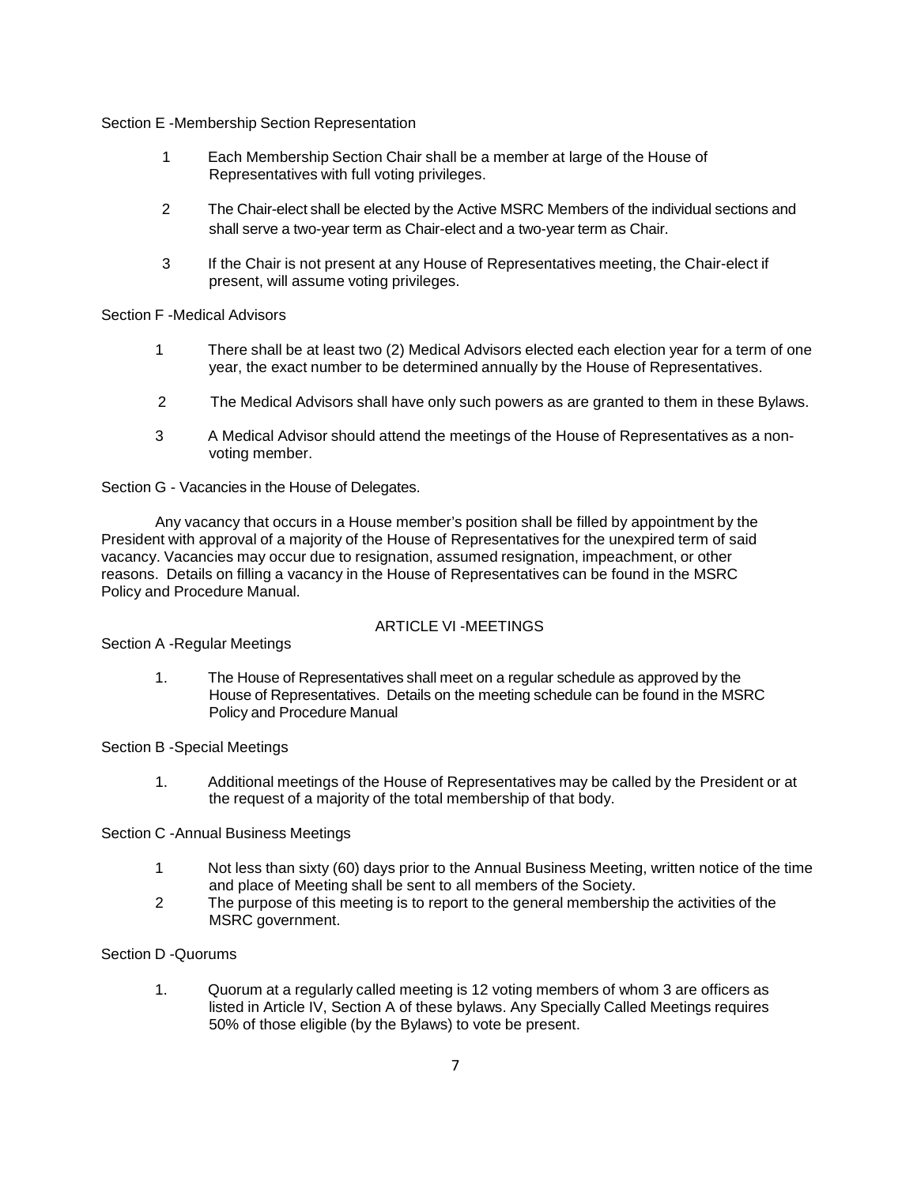### Section E -Membership Section Representation

- 1 Each Membership Section Chair shall be a member at large of the House of Representatives with full voting privileges.
- 2 The Chair-elect shall be elected by the Active MSRC Members of the individual sections and shall serve a two-year term as Chair-elect and a two-year term as Chair.
- 3 If the Chair is not present at any House of Representatives meeting, the Chair-elect if present, will assume voting privileges.

### Section F -Medical Advisors

- 1 There shall be at least two (2) Medical Advisors elected each election year for a term of one year, the exact number to be determined annually by the House of Representatives.
- 2 The Medical Advisors shall have only such powers as are granted to them in these Bylaws.
- 3 A Medical Advisor should attend the meetings of the House of Representatives as a nonvoting member.

Section G - Vacancies in the House of Delegates.

Any vacancy that occurs in a House member's position shall be filled by appointment by the President with approval of a majority of the House of Representatives for the unexpired term of said vacancy. Vacancies may occur due to resignation, assumed resignation, impeachment, or other reasons. Details on filling a vacancy in the House of Representatives can be found in the MSRC Policy and Procedure Manual.

# ARTICLE VI -MEETINGS

Section A -Regular Meetings

1. The House of Representatives shall meet on a regular schedule as approved by the House of Representatives. Details on the meeting schedule can be found in the MSRC Policy and Procedure Manual

### Section B -Special Meetings

1. Additional meetings of the House of Representatives may be called by the President or at the request of a majority of the total membership of that body.

### Section C -Annual Business Meetings

- 1 Not less than sixty (60) days prior to the Annual Business Meeting, written notice of the time and place of Meeting shall be sent to all members of the Society.
- 2 The purpose of this meeting is to report to the general membership the activities of the MSRC government.

# Section D -Quorums

1. Quorum at a regularly called meeting is 12 voting members of whom 3 are officers as listed in Article IV, Section A of these bylaws. Any Specially Called Meetings requires 50% of those eligible (by the Bylaws) to vote be present.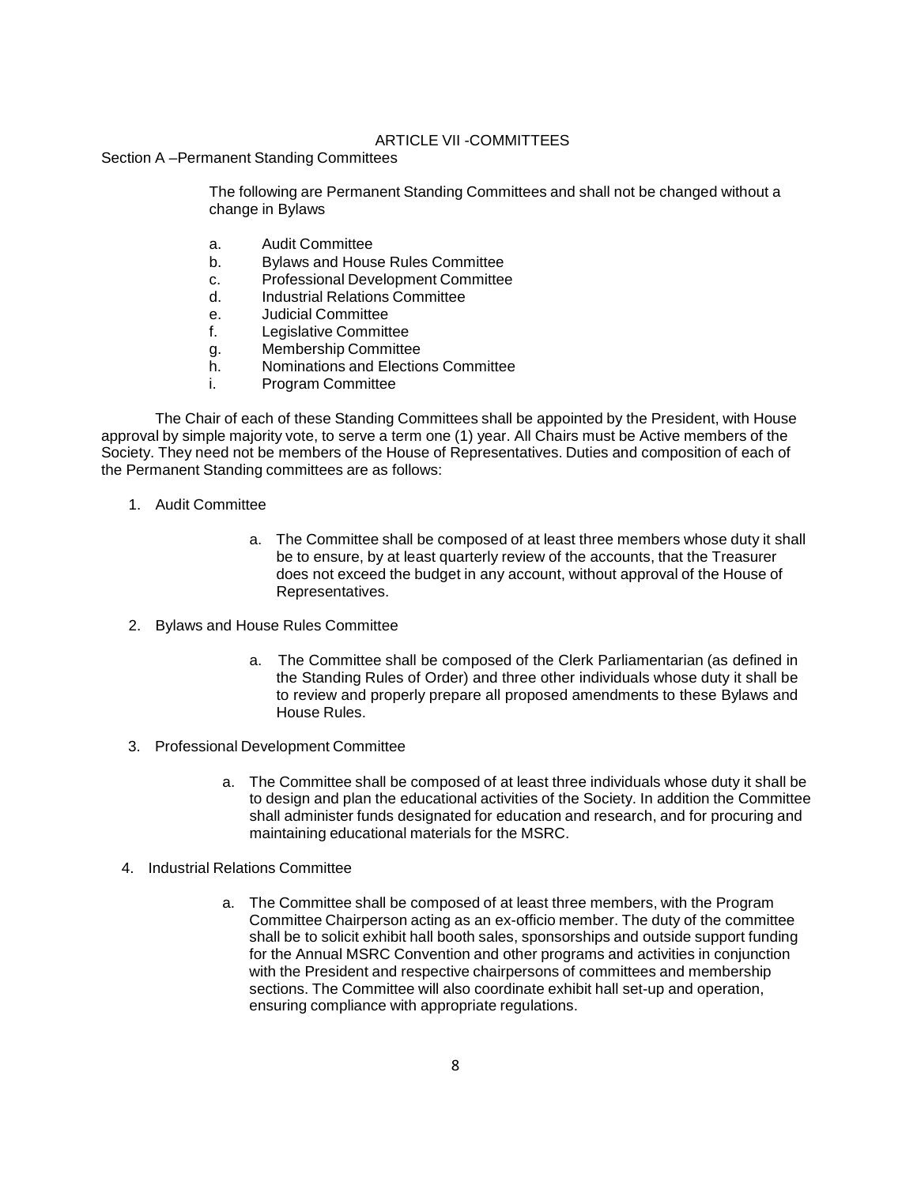# ARTICLE VII -COMMITTEES

Section A –Permanent Standing Committees

The following are Permanent Standing Committees and shall not be changed without a change in Bylaws

- a. Audit Committee
- b. Bylaws and House Rules Committee
- c. Professional Development Committee
- d. Industrial Relations Committee
- e. Judicial Committee
- f. Legislative Committee
- g. Membership Committee
- h. Nominations and Elections Committee
- i. Program Committee

The Chair of each of these Standing Committees shall be appointed by the President, with House approval by simple majority vote, to serve a term one (1) year. All Chairs must be Active members of the Society. They need not be members of the House of Representatives. Duties and composition of each of the Permanent Standing committees are as follows:

- 1. Audit Committee
	- a. The Committee shall be composed of at least three members whose duty it shall be to ensure, by at least quarterly review of the accounts, that the Treasurer does not exceed the budget in any account, without approval of the House of Representatives.
- 2. Bylaws and House Rules Committee
	- a. The Committee shall be composed of the Clerk Parliamentarian (as defined in the Standing Rules of Order) and three other individuals whose duty it shall be to review and properly prepare all proposed amendments to these Bylaws and House Rules.
- 3. Professional Development Committee
	- a. The Committee shall be composed of at least three individuals whose duty it shall be to design and plan the educational activities of the Society. In addition the Committee shall administer funds designated for education and research, and for procuring and maintaining educational materials for the MSRC.
- 4. Industrial Relations Committee
	- a. The Committee shall be composed of at least three members, with the Program Committee Chairperson acting as an ex-officio member. The duty of the committee shall be to solicit exhibit hall booth sales, sponsorships and outside support funding for the Annual MSRC Convention and other programs and activities in conjunction with the President and respective chairpersons of committees and membership sections. The Committee will also coordinate exhibit hall set-up and operation, ensuring compliance with appropriate regulations.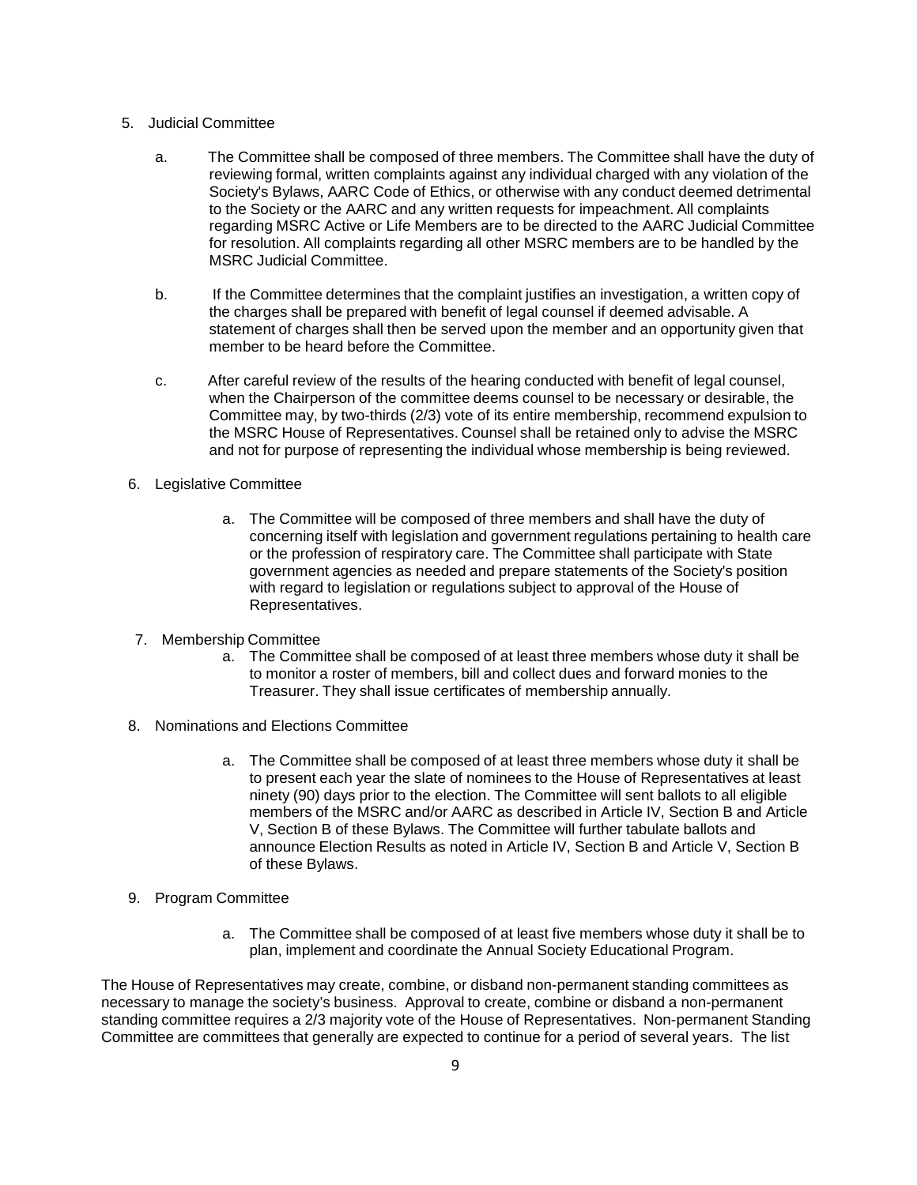- 5. Judicial Committee
	- a. The Committee shall be composed of three members. The Committee shall have the duty of reviewing formal, written complaints against any individual charged with any violation of the Society's Bylaws, AARC Code of Ethics, or otherwise with any conduct deemed detrimental to the Society or the AARC and any written requests for impeachment. All complaints regarding MSRC Active or Life Members are to be directed to the AARC Judicial Committee for resolution. All complaints regarding all other MSRC members are to be handled by the MSRC Judicial Committee.
	- b. If the Committee determines that the complaint justifies an investigation, a written copy of the charges shall be prepared with benefit of legal counsel if deemed advisable. A statement of charges shall then be served upon the member and an opportunity given that member to be heard before the Committee.
	- c. After careful review of the results of the hearing conducted with benefit of legal counsel, when the Chairperson of the committee deems counsel to be necessary or desirable, the Committee may, by two-thirds (2/3) vote of its entire membership, recommend expulsion to the MSRC House of Representatives. Counsel shall be retained only to advise the MSRC and not for purpose of representing the individual whose membership is being reviewed.
- 6. Legislative Committee
	- a. The Committee will be composed of three members and shall have the duty of concerning itself with legislation and government regulations pertaining to health care or the profession of respiratory care. The Committee shall participate with State government agencies as needed and prepare statements of the Society's position with regard to legislation or regulations subject to approval of the House of Representatives.
- 7. Membership Committee
	- a. The Committee shall be composed of at least three members whose duty it shall be to monitor a roster of members, bill and collect dues and forward monies to the Treasurer. They shall issue certificates of membership annually.
- 8. Nominations and Elections Committee
	- a. The Committee shall be composed of at least three members whose duty it shall be to present each year the slate of nominees to the House of Representatives at least ninety (90) days prior to the election. The Committee will sent ballots to all eligible members of the MSRC and/or AARC as described in Article IV, Section B and Article V, Section B of these Bylaws. The Committee will further tabulate ballots and announce Election Results as noted in Article IV, Section B and Article V, Section B of these Bylaws.
- 9. Program Committee
	- a. The Committee shall be composed of at least five members whose duty it shall be to plan, implement and coordinate the Annual Society Educational Program.

The House of Representatives may create, combine, or disband non-permanent standing committees as necessary to manage the society's business. Approval to create, combine or disband a non-permanent standing committee requires a 2/3 majority vote of the House of Representatives. Non-permanent Standing Committee are committees that generally are expected to continue for a period of several years. The list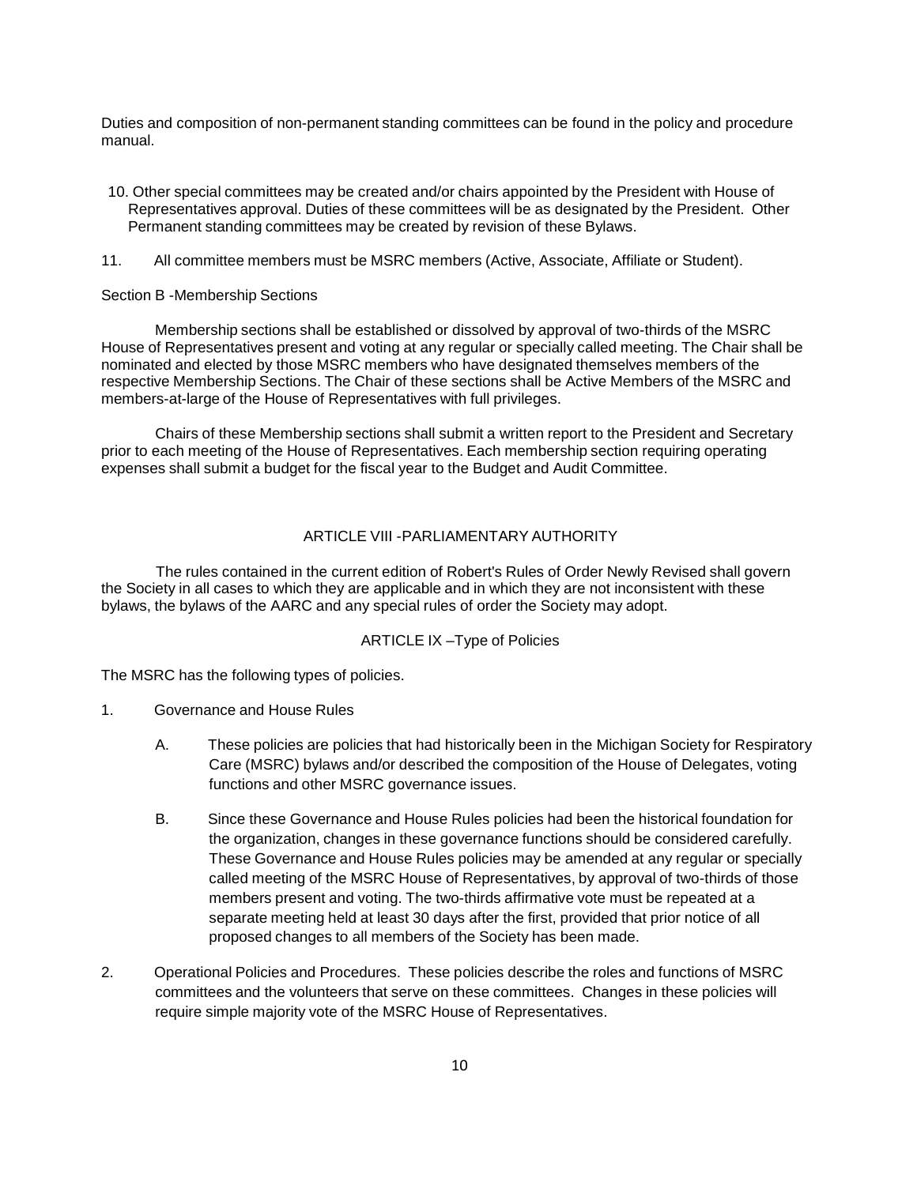Duties and composition of non-permanent standing committees can be found in the policy and procedure manual.

- 10. Other special committees may be created and/or chairs appointed by the President with House of Representatives approval. Duties of these committees will be as designated by the President. Other Permanent standing committees may be created by revision of these Bylaws.
- 11. All committee members must be MSRC members (Active, Associate, Affiliate or Student).

#### Section B -Membership Sections

Membership sections shall be established or dissolved by approval of two-thirds of the MSRC House of Representatives present and voting at any regular or specially called meeting. The Chair shall be nominated and elected by those MSRC members who have designated themselves members of the respective Membership Sections. The Chair of these sections shall be Active Members of the MSRC and members-at-large of the House of Representatives with full privileges.

Chairs of these Membership sections shall submit a written report to the President and Secretary prior to each meeting of the House of Representatives. Each membership section requiring operating expenses shall submit a budget for the fiscal year to the Budget and Audit Committee.

# ARTICLE VIII -PARLIAMENTARY AUTHORITY

The rules contained in the current edition of Robert's Rules of Order Newly Revised shall govern the Society in all cases to which they are applicable and in which they are not inconsistent with these bylaws, the bylaws of the AARC and any special rules of order the Society may adopt.

### ARTICLE IX –Type of Policies

The MSRC has the following types of policies.

- 1. Governance and House Rules
	- A. These policies are policies that had historically been in the Michigan Society for Respiratory Care (MSRC) bylaws and/or described the composition of the House of Delegates, voting functions and other MSRC governance issues.
	- B. Since these Governance and House Rules policies had been the historical foundation for the organization, changes in these governance functions should be considered carefully. These Governance and House Rules policies may be amended at any regular or specially called meeting of the MSRC House of Representatives, by approval of two-thirds of those members present and voting. The two-thirds affirmative vote must be repeated at a separate meeting held at least 30 days after the first, provided that prior notice of all proposed changes to all members of the Society has been made.
- 2. Operational Policies and Procedures. These policies describe the roles and functions of MSRC committees and the volunteers that serve on these committees. Changes in these policies will require simple majority vote of the MSRC House of Representatives.